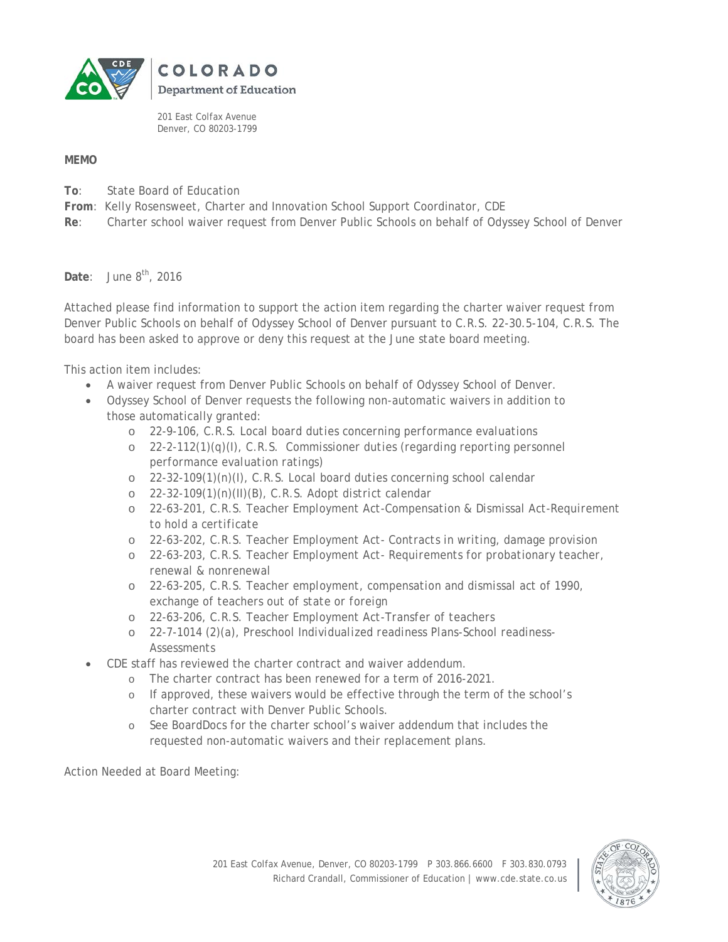

201 East Colfax Avenue Denver, CO 80203-1799

## **MEMO**

- **To**: State Board of Education
- **From**: Kelly Rosensweet, Charter and Innovation School Support Coordinator, CDE
- **Re**: Charter school waiver request from Denver Public Schools on behalf of Odyssey School of Denver

**Date:** June 8<sup>th</sup>, 2016

Attached please find information to support the action item regarding the charter waiver request from Denver Public Schools on behalf of Odyssey School of Denver pursuant to *C.R.S. 22-30.5-104, C.R.S.* The board has been asked to approve or deny this request at the June state board meeting.

This action item includes:

- A waiver request from Denver Public Schools on behalf of Odyssey School of Denver.
- Odyssey School of Denver requests the following non-automatic waivers in addition to those automatically granted:
	- o *22-9-106, C.R.S. Local board duties concerning performance evaluations*
	- o *22-2-112(1)(q)(I), C.R.S. Commissioner duties (regarding reporting personnel performance evaluation ratings)*
	- o *22-32-109(1)(n)(I), C.R.S. Local board duties concerning school calendar*
	- o *22-32-109(1)(n)(II)(B), C.R.S. Adopt district calendar*
	- o *22-63-201, C.R.S. Teacher Employment Act-Compensation & Dismissal Act-Requirement to hold a certificate*
	- o *22-63-202, C.R.S. Teacher Employment Act- Contracts in writing, damage provision*
	- o *22-63-203, C.R.S. Teacher Employment Act- Requirements for probationary teacher, renewal & nonrenewal*
	- o *22-63-205, C.R.S. Teacher employment, compensation and dismissal act of 1990, exchange of teachers out of state or foreign*
	- o *22-63-206, C.R.S. Teacher Employment Act-Transfer of teachers*
	- o *22-7-1014 (2)(a), Preschool Individualized readiness Plans-School readiness-Assessments*
- CDE staff has reviewed the charter contract and waiver addendum.
	- o The charter contract has been renewed for a term of 2016-2021.
	- o If approved, these waivers would be effective through the term of the school's charter contract with Denver Public Schools.
	- o See BoardDocs for the charter school's waiver addendum that includes the requested non-automatic waivers and their replacement plans.

Action Needed at Board Meeting: